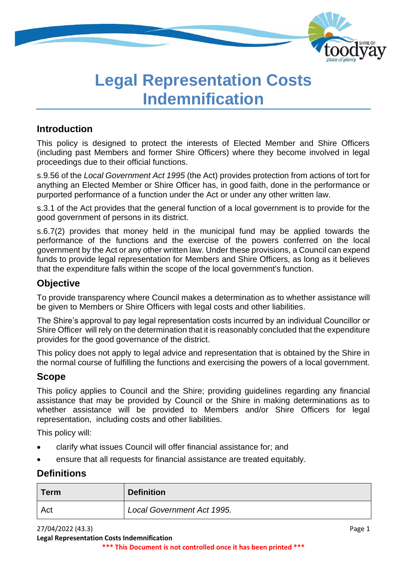

# **Legal Representation Costs Indemnification**

## **Introduction**

This policy is designed to protect the interests of Elected Member and Shire Officers (including past Members and former Shire Officers) where they become involved in legal proceedings due to their official functions.

s.9.56 of the *Local Government Act 1995* (the Act) provides protection from actions of tort for anything an Elected Member or Shire Officer has, in good faith, done in the performance or purported performance of a function under the Act or under any other written law.

s.3.1 of the Act provides that the general function of a local government is to provide for the good government of persons in its district.

s.6.7(2) provides that money held in the municipal fund may be applied towards the performance of the functions and the exercise of the powers conferred on the local government by the Act or any other written law. Under these provisions, a Council can expend funds to provide legal representation for Members and Shire Officers, as long as it believes that the expenditure falls within the scope of the local government's function.

# **Objective**

To provide transparency where Council makes a determination as to whether assistance will be given to Members or Shire Officers with legal costs and other liabilities.

The Shire's approval to pay legal representation costs incurred by an individual Councillor or Shire Officer will rely on the determination that it is reasonably concluded that the expenditure provides for the good governance of the district.

This policy does not apply to legal advice and representation that is obtained by the Shire in the normal course of fulfilling the functions and exercising the powers of a local government.

#### **Scope**

This policy applies to Council and the Shire; providing guidelines regarding any financial assistance that may be provided by Council or the Shire in making determinations as to whether assistance will be provided to Members and/or Shire Officers for legal representation, including costs and other liabilities.

This policy will:

- clarify what issues Council will offer financial assistance for; and
- ensure that all requests for financial assistance are treated equitably.

# **Definitions**

| Term | <b>Definition</b>          |
|------|----------------------------|
| Act  | Local Government Act 1995. |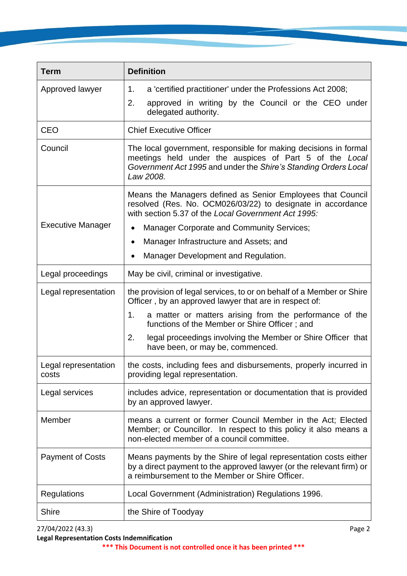| <b>Term</b>                   | <b>Definition</b>                                                                                                                                                                                           |  |
|-------------------------------|-------------------------------------------------------------------------------------------------------------------------------------------------------------------------------------------------------------|--|
| Approved lawyer               | a 'certified practitioner' under the Professions Act 2008;<br>1.<br>approved in writing by the Council or the CEO under<br>2.<br>delegated authority.                                                       |  |
| <b>CEO</b>                    | <b>Chief Executive Officer</b>                                                                                                                                                                              |  |
| Council                       | The local government, responsible for making decisions in formal<br>meetings held under the auspices of Part 5 of the Local<br>Government Act 1995 and under the Shire's Standing Orders Local<br>Law 2008. |  |
|                               | Means the Managers defined as Senior Employees that Council<br>resolved (Res. No. OCM026/03/22) to designate in accordance<br>with section 5.37 of the Local Government Act 1995:                           |  |
| <b>Executive Manager</b>      | <b>Manager Corporate and Community Services;</b><br>$\bullet$                                                                                                                                               |  |
|                               | Manager Infrastructure and Assets; and<br>٠                                                                                                                                                                 |  |
|                               | Manager Development and Regulation.<br>$\bullet$                                                                                                                                                            |  |
| Legal proceedings             | May be civil, criminal or investigative.                                                                                                                                                                    |  |
| Legal representation          | the provision of legal services, to or on behalf of a Member or Shire<br>Officer, by an approved lawyer that are in respect of:                                                                             |  |
|                               | a matter or matters arising from the performance of the<br>1.<br>functions of the Member or Shire Officer; and                                                                                              |  |
|                               | legal proceedings involving the Member or Shire Officer that<br>2.<br>have been, or may be, commenced.                                                                                                      |  |
| Legal representation<br>costs | the costs, including fees and disbursements, properly incurred in<br>providing legal representation.                                                                                                        |  |
| Legal services                | includes advice, representation or documentation that is provided<br>by an approved lawyer.                                                                                                                 |  |
| Member                        | means a current or former Council Member in the Act; Elected<br>Member; or Councillor. In respect to this policy it also means a<br>non-elected member of a council committee.                              |  |
| <b>Payment of Costs</b>       | Means payments by the Shire of legal representation costs either<br>by a direct payment to the approved lawyer (or the relevant firm) or<br>a reimbursement to the Member or Shire Officer.                 |  |
| Regulations                   | Local Government (Administration) Regulations 1996.                                                                                                                                                         |  |
| <b>Shire</b>                  | the Shire of Toodyay                                                                                                                                                                                        |  |

27/04/2022 (43.3) Page 2

**\*\*\* This Document is not controlled once it has been printed \*\*\***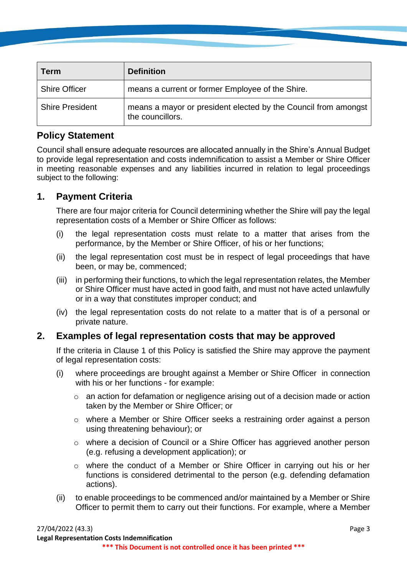| <b>Term</b>            | <b>Definition</b>                                                                  |
|------------------------|------------------------------------------------------------------------------------|
| <b>Shire Officer</b>   | means a current or former Employee of the Shire.                                   |
| <b>Shire President</b> | means a mayor or president elected by the Council from amongst<br>the councillors. |

# **Policy Statement**

Council shall ensure adequate resources are allocated annually in the Shire's Annual Budget to provide legal representation and costs indemnification to assist a Member or Shire Officer in meeting reasonable expenses and any liabilities incurred in relation to legal proceedings subject to the following:

# **1. Payment Criteria**

There are four major criteria for Council determining whether the Shire will pay the legal representation costs of a Member or Shire Officer as follows:

- (i) the legal representation costs must relate to a matter that arises from the performance, by the Member or Shire Officer, of his or her functions;
- (ii) the legal representation cost must be in respect of legal proceedings that have been, or may be, commenced;
- (iii) in performing their functions, to which the legal representation relates, the Member or Shire Officer must have acted in good faith, and must not have acted unlawfully or in a way that constitutes improper conduct; and
- (iv) the legal representation costs do not relate to a matter that is of a personal or private nature.

#### **2. Examples of legal representation costs that may be approved**

If the criteria in Clause 1 of this Policy is satisfied the Shire may approve the payment of legal representation costs:

- (i) where proceedings are brought against a Member or Shire Officer in connection with his or her functions - for example:
	- o an action for defamation or negligence arising out of a decision made or action taken by the Member or Shire Officer; or
	- o where a Member or Shire Officer seeks a restraining order against a person using threatening behaviour); or
	- o where a decision of Council or a Shire Officer has aggrieved another person (e.g. refusing a development application); or
	- o where the conduct of a Member or Shire Officer in carrying out his or her functions is considered detrimental to the person (e.g. defending defamation actions).
- (ii) to enable proceedings to be commenced and/or maintained by a Member or Shire Officer to permit them to carry out their functions. For example, where a Member

**Legal Representation Costs Indemnification**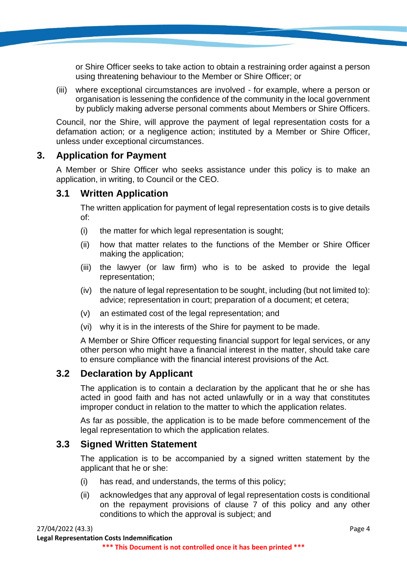or Shire Officer seeks to take action to obtain a restraining order against a person using threatening behaviour to the Member or Shire Officer; or

(iii) where exceptional circumstances are involved - for example, where a person or organisation is lessening the confidence of the community in the local government by publicly making adverse personal comments about Members or Shire Officers.

Council, nor the Shire, will approve the payment of legal representation costs for a defamation action; or a negligence action; instituted by a Member or Shire Officer, unless under exceptional circumstances.

#### **3. Application for Payment**

A Member or Shire Officer who seeks assistance under this policy is to make an application, in writing, to Council or the CEO.

#### **3.1 Written Application**

The written application for payment of legal representation costs is to give details of:

- (i) the matter for which legal representation is sought;
- (ii) how that matter relates to the functions of the Member or Shire Officer making the application;
- (iii) the lawyer (or law firm) who is to be asked to provide the legal representation;
- (iv) the nature of legal representation to be sought, including (but not limited to): advice; representation in court; preparation of a document; et cetera;
- (v) an estimated cost of the legal representation; and
- (vi) why it is in the interests of the Shire for payment to be made.

A Member or Shire Officer requesting financial support for legal services, or any other person who might have a financial interest in the matter, should take care to ensure compliance with the financial interest provisions of the Act.

#### **3.2 Declaration by Applicant**

The application is to contain a declaration by the applicant that he or she has acted in good faith and has not acted unlawfully or in a way that constitutes improper conduct in relation to the matter to which the application relates.

As far as possible, the application is to be made before commencement of the legal representation to which the application relates.

#### **3.3 Signed Written Statement**

The application is to be accompanied by a signed written statement by the applicant that he or she:

- (i) has read, and understands, the terms of this policy;
- (ii) acknowledges that any approval of legal representation costs is conditional on the repayment provisions of clause 7 of this policy and any other conditions to which the approval is subject; and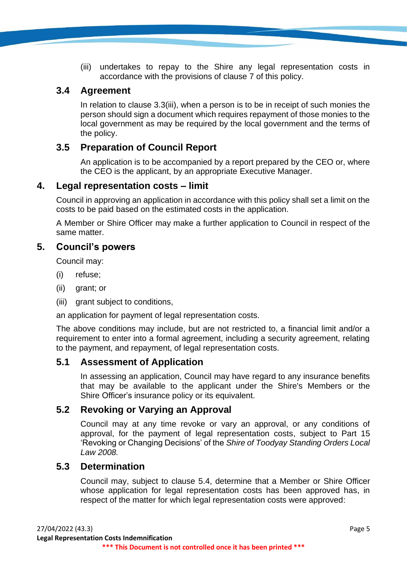(iii) undertakes to repay to the Shire any legal representation costs in accordance with the provisions of clause 7 of this policy.

## **3.4 Agreement**

In relation to clause 3.3(iii), when a person is to be in receipt of such monies the person should sign a document which requires repayment of those monies to the local government as may be required by the local government and the terms of the policy.

# **3.5 Preparation of Council Report**

An application is to be accompanied by a report prepared by the CEO or, where the CEO is the applicant, by an appropriate Executive Manager.

# **4. Legal representation costs – limit**

Council in approving an application in accordance with this policy shall set a limit on the costs to be paid based on the estimated costs in the application.

A Member or Shire Officer may make a further application to Council in respect of the same matter.

# **5. Council's powers**

Council may:

- (i) refuse;
- (ii) grant; or
- (iii) grant subject to conditions,

an application for payment of legal representation costs.

The above conditions may include, but are not restricted to, a financial limit and/or a requirement to enter into a formal agreement, including a security agreement, relating to the payment, and repayment, of legal representation costs.

# **5.1 Assessment of Application**

In assessing an application, Council may have regard to any insurance benefits that may be available to the applicant under the Shire's Members or the Shire Officer's insurance policy or its equivalent.

# **5.2 Revoking or Varying an Approval**

Council may at any time revoke or vary an approval, or any conditions of approval, for the payment of legal representation costs, subject to Part 15 'Revoking or Changing Decisions' of the *Shire of Toodyay Standing Orders Local Law 2008.*

## **5.3 Determination**

Council may, subject to clause 5.4, determine that a Member or Shire Officer whose application for legal representation costs has been approved has, in respect of the matter for which legal representation costs were approved: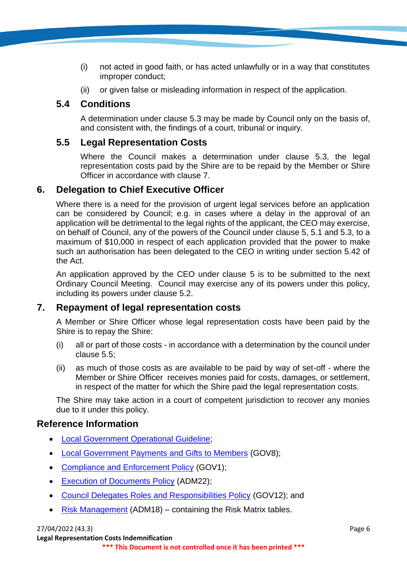- (i) not acted in good faith, or has acted unlawfully or in a way that constitutes improper conduct;
- (ii) or given false or misleading information in respect of the application.

# **5.4 Conditions**

A determination under clause 5.3 may be made by Council only on the basis of, and consistent with, the findings of a court, tribunal or inquiry.

#### **5.5 Legal Representation Costs**

Where the Council makes a determination under clause 5.3, the legal representation costs paid by the Shire are to be repaid by the Member or Shire Officer in accordance with clause 7.

#### **6. Delegation to Chief Executive Officer**

Where there is a need for the provision of urgent legal services before an application can be considered by Council; e.g. in cases where a delay in the approval of an application will be detrimental to the legal rights of the applicant, the CEO may exercise, on behalf of Council, any of the powers of the Council under clause 5, 5.1 and 5.3, to a maximum of \$10,000 in respect of each application provided that the power to make such an authorisation has been delegated to the CEO in writing under section 5.42 of the Act.

An application approved by the CEO under clause 5 is to be submitted to the next Ordinary Council Meeting. Council may exercise any of its powers under this policy, including its powers under clause 5.2.

#### **7. Repayment of legal representation costs**

A Member or Shire Officer whose legal representation costs have been paid by the Shire is to repay the Shire:

- (i) all or part of those costs in accordance with a determination by the council under clause 5.5;
- (ii) as much of those costs as are available to be paid by way of set-off where the Member or Shire Officer receives monies paid for costs, damages, or settlement, in respect of the matter for which the Shire paid the legal representation costs.

The Shire may take action in a court of competent jurisdiction to recover any monies due to it under this policy.

#### **Reference Information**

- [Local Government Operational Guideline;](https://www.dlgsc.wa.gov.au/local-government/local-governments/support-and-advice/local-government-operational-guidelines)
- [Local Government Payments and Gifts to Members](https://www.toodyay.wa.gov.au/documents/327/local-government-payments-and-gifts-to-members) (GOV8);
- [Compliance and Enforcement Policy](https://www.toodyay.wa.gov.au/documents/319/compliance-and-enforcement) (GOV1);
- [Execution of Documents Policy](https://www.toodyay.wa.gov.au/documents/314/execution-of-documents) (ADM22);
- [Council Delegates Roles and Responsibilities Policy](https://www.toodyay.wa.gov.au/documents/323/council-delegates-roles-and-responsibilities) (GOV12); and
- [Risk Management](https://www.toodyay.wa.gov.au/documents/110/risk-management) (ADM18) containing the Risk Matrix tables.

27/04/2022 (43.3) Page 6

**Legal Representation Costs Indemnification**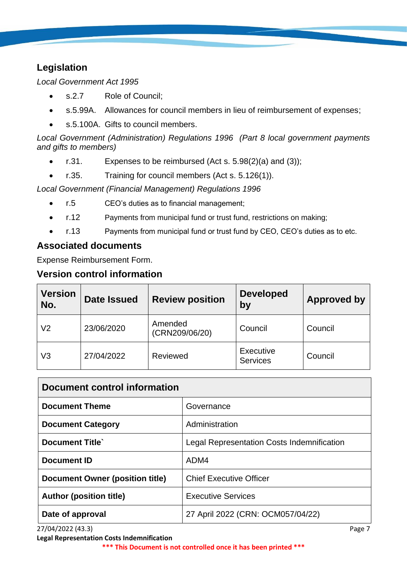# **Legislation**

*Local Government Act 1995*

- s.2.7 Role of Council;
- s.5.99A. Allowances for council members in lieu of reimbursement of expenses;
- s.5.100A. Gifts to council members.

*Local Government (Administration) Regulations 1996 (Part 8 local government payments and gifts to members)*

- $r.31.$  Expenses to be reimbursed (Act s. 5.98(2)(a) and (3));
- r.35. Training for council members (Act s. 5.126(1)).

*Local Government (Financial Management) Regulations 1996*

- r.5 CEO's duties as to financial management;
- r.12 Payments from municipal fund or trust fund, restrictions on making;
- r.13 Payments from municipal fund or trust fund by CEO, CEO's duties as to etc.

# **Associated documents**

Expense Reimbursement Form.

# **Version control information**

| <b>Version</b><br>No. | <b>Date Issued</b> | <b>Review position</b>    | <b>Developed</b><br>by       | <b>Approved by</b> |
|-----------------------|--------------------|---------------------------|------------------------------|--------------------|
| V2                    | 23/06/2020         | Amended<br>(CRN209/06/20) | Council                      | Council            |
| V3                    | 27/04/2022         | Reviewed                  | Executive<br><b>Services</b> | Council            |

| Document control information           |                                            |  |  |
|----------------------------------------|--------------------------------------------|--|--|
| <b>Document Theme</b>                  | Governance                                 |  |  |
| <b>Document Category</b>               | Administration                             |  |  |
| <b>Document Title</b>                  | Legal Representation Costs Indemnification |  |  |
| <b>Document ID</b>                     | ADM4                                       |  |  |
| <b>Document Owner (position title)</b> | <b>Chief Executive Officer</b>             |  |  |
| <b>Author (position title)</b>         | <b>Executive Services</b>                  |  |  |
| Date of approval                       | 27 April 2022 (CRN: OCM057/04/22)          |  |  |

27/04/2022 (43.3) Page 7

**Legal Representation Costs Indemnification**